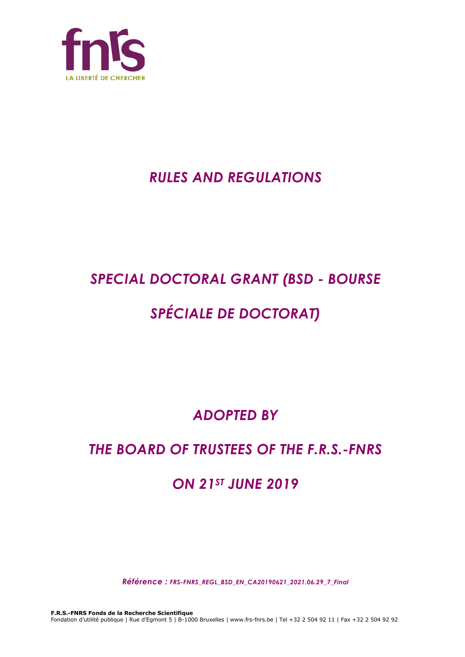

## *RULES AND REGULATIONS*

# *SPECIAL DOCTORAL GRANT (BSD - BOURSE*

# *SPÉCIALE DE DOCTORAT)*

*ADOPTED BY*

## *THE BOARD OF TRUSTEES OF THE F.R.S.-FNRS*

## *ON 21ST JUNE 2019*

*Référence : FRS-FNRS\_REGL\_BSD\_EN\_CA20190621\_2021.06.29\_7\_Final*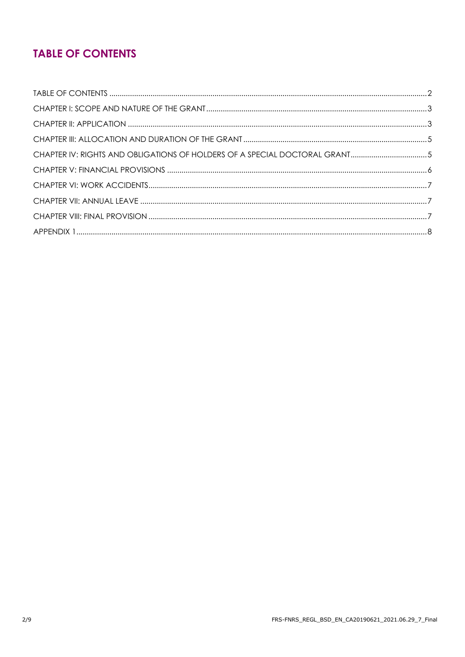## **TABLE OF CONTENTS**

| CHAPTER IV: RIGHTS AND OBLIGATIONS OF HOLDERS OF A SPECIAL DOCTORAL GRANT5 |  |
|----------------------------------------------------------------------------|--|
|                                                                            |  |
|                                                                            |  |
|                                                                            |  |
|                                                                            |  |
|                                                                            |  |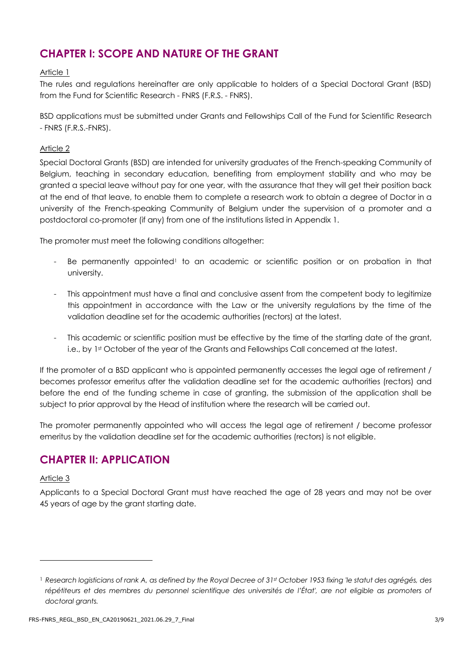## **CHAPTER I: SCOPE AND NATURE OF THE GRANT**

#### Article 1

The rules and regulations hereinafter are only applicable to holders of a Special Doctoral Grant (BSD) from the Fund for Scientific Research - FNRS (F.R.S. - FNRS).

BSD applications must be submitted under Grants and Fellowships Call of the Fund for Scientific Research - FNRS (F.R.S.-FNRS).

#### Article 2

Special Doctoral Grants (BSD) are intended for university graduates of the French-speaking Community of Belgium, teaching in secondary education, benefiting from employment stability and who may be granted a special leave without pay for one year, with the assurance that they will get their position back at the end of that leave, to enable them to complete a research work to obtain a degree of Doctor in a university of the French-speaking Community of Belgium under the supervision of a promoter and a postdoctoral co-promoter (if any) from one of the institutions listed in Appendix 1.

The promoter must meet the following conditions altogether:

- Be permanently appointed<sup>1</sup> to an academic or scientific position or on probation in that university.
- This appointment must have a final and conclusive assent from the competent body to legitimize this appointment in accordance with the Law or the university regulations by the time of the validation deadline set for the academic authorities (rectors) at the latest.
- This academic or scientific position must be effective by the time of the starting date of the grant, i.e., by 1st October of the year of the Grants and Fellowships Call concerned at the latest.

If the promoter of a BSD applicant who is appointed permanently accesses the legal age of retirement / becomes professor emeritus after the validation deadline set for the academic authorities (rectors) and before the end of the funding scheme in case of granting, the submission of the application shall be subject to prior approval by the Head of institution where the research will be carried out.

The promoter permanently appointed who will access the legal age of retirement / become professor emeritus by the validation deadline set for the academic authorities (rectors) is not eligible.

### **CHAPTER II: APPLICATION**

#### Article 3

Applicants to a Special Doctoral Grant must have reached the age of 28 years and may not be over 45 years of age by the grant starting date.

<sup>1</sup> *Research logisticians of rank A, as defined by the Royal Decree of 31st October 1953 fixing 'le statut des agrégés, des*  répétiteurs et des membres du personnel scientifique des universités de l'État', are not eligible as promoters of *doctoral grants.*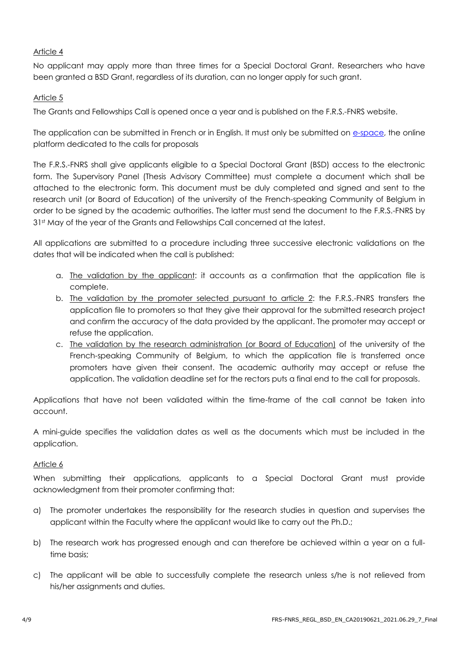#### Article 4

No applicant may apply more than three times for a Special Doctoral Grant. Researchers who have been granted a BSD Grant, regardless of its duration, can no longer apply for such grant.

#### Article 5

The Grants and Fellowships Call is opened once a year and is published on the F.R.S.-FNRS website.

The application can be submitted in French or in English. It must only be submitted on [e-space,](https://e-space.frs-fnrs.be/) the online platform dedicated to the calls for proposals

The F.R.S.-FNRS shall give applicants eligible to a Special Doctoral Grant (BSD) access to the electronic form. The Supervisory Panel (Thesis Advisory Committee) must complete a document which shall be attached to the electronic form. This document must be duly completed and signed and sent to the research unit (or Board of Education) of the university of the French-speaking Community of Belgium in order to be signed by the academic authorities. The latter must send the document to the F.R.S.-FNRS by 31st May of the year of the Grants and Fellowships Call concerned at the latest.

All applications are submitted to a procedure including three successive electronic validations on the dates that will be indicated when the call is published:

- a. The validation by the applicant: it accounts as a confirmation that the application file is complete.
- b. The validation by the promoter selected pursuant to article 2: the F.R.S.-FNRS transfers the application file to promoters so that they give their approval for the submitted research project and confirm the accuracy of the data provided by the applicant. The promoter may accept or refuse the application.
- c. The validation by the research administration (or Board of Education) of the university of the French-speaking Community of Belgium, to which the application file is transferred once promoters have given their consent. The academic authority may accept or refuse the application. The validation deadline set for the rectors puts a final end to the call for proposals.

Applications that have not been validated within the time-frame of the call cannot be taken into account.

A mini-guide specifies the validation dates as well as the documents which must be included in the application.

#### Article 6

When submitting their applications, applicants to a Special Doctoral Grant must provide acknowledgment from their promoter confirming that:

- a) The promoter undertakes the responsibility for the research studies in question and supervises the applicant within the Faculty where the applicant would like to carry out the Ph.D.;
- b) The research work has progressed enough and can therefore be achieved within a year on a fulltime basis;
- c) The applicant will be able to successfully complete the research unless s/he is not relieved from his/her assignments and duties.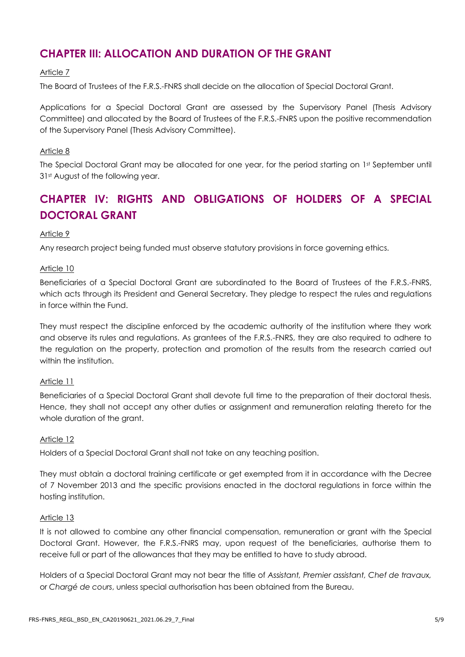## **CHAPTER III: ALLOCATION AND DURATION OF THE GRANT**

#### Article 7

The Board of Trustees of the F.R.S.-FNRS shall decide on the allocation of Special Doctoral Grant.

Applications for a Special Doctoral Grant are assessed by the Supervisory Panel (Thesis Advisory Committee) and allocated by the Board of Trustees of the F.R.S.-FNRS upon the positive recommendation of the Supervisory Panel (Thesis Advisory Committee).

#### Article 8

The Special Doctoral Grant may be allocated for one year, for the period starting on 1st September until 31st August of the following year.

## **CHAPTER IV: RIGHTS AND OBLIGATIONS OF HOLDERS OF A SPECIAL DOCTORAL GRANT**

#### Article 9

Any research project being funded must observe statutory provisions in force governing ethics.

#### Article 10

Beneficiaries of a Special Doctoral Grant are subordinated to the Board of Trustees of the F.R.S.-FNRS, which acts through its President and General Secretary. They pledge to respect the rules and regulations in force within the Fund.

They must respect the discipline enforced by the academic authority of the institution where they work and observe its rules and regulations. As grantees of the F.R.S.-FNRS, they are also required to adhere to the regulation on the property, protection and promotion of the results from the research carried out within the institution.

#### Article 11

Beneficiaries of a Special Doctoral Grant shall devote full time to the preparation of their doctoral thesis. Hence, they shall not accept any other duties or assignment and remuneration relating thereto for the whole duration of the grant.

#### Article 12

Holders of a Special Doctoral Grant shall not take on any teaching position.

They must obtain a doctoral training certificate or get exempted from it in accordance with the Decree of 7 November 2013 and the specific provisions enacted in the doctoral regulations in force within the hosting institution.

#### Article 13

It is not allowed to combine any other financial compensation, remuneration or grant with the Special Doctoral Grant. However, the F.R.S.-FNRS may, upon request of the beneficiaries, authorise them to receive full or part of the allowances that they may be entitled to have to study abroad.

Holders of a Special Doctoral Grant may not bear the title of *Assistant, Premier assistant, Chef de travaux,*  or *Chargé de cours*, unless special authorisation has been obtained from the Bureau.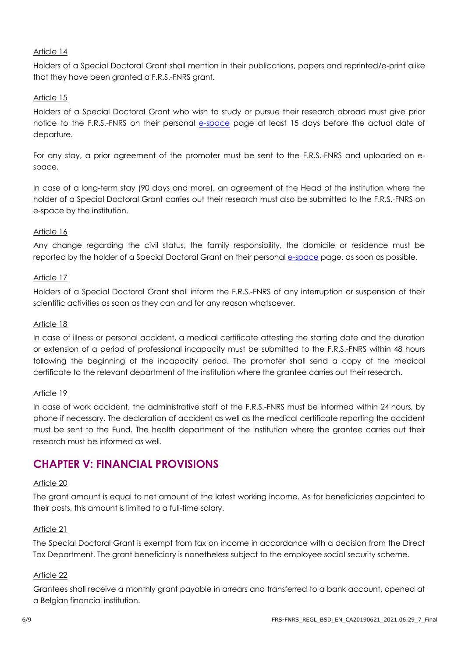#### Article 14

Holders of a Special Doctoral Grant shall mention in their publications, papers and reprinted/e-print alike that they have been granted a F.R.S.-FNRS grant.

#### Article 15

Holders of a Special Doctoral Grant who wish to study or pursue their research abroad must give prior notice to the F.R.S.-FNRS on their personal e[-space](https://e-space.frs-fnrs.be/) page at least 15 days before the actual date of departure.

For any stay, a prior agreement of the promoter must be sent to the F.R.S.-FNRS and uploaded on espace.

In case of a long-term stay (90 days and more), an agreement of the Head of the institution where the holder of a Special Doctoral Grant carries out their research must also be submitted to the F.R.S.-FNRS on e-space by the institution.

#### Article 16

Any change regarding the civil status, the family responsibility, the domicile or residence must be reported by the holder of a Special Doctoral Grant on their personal e[-space](https://e-space.frs-fnrs.be/) page, as soon as possible.

#### Article 17

Holders of a Special Doctoral Grant shall inform the F.R.S.-FNRS of any interruption or suspension of their scientific activities as soon as they can and for any reason whatsoever.

#### Article 18

In case of illness or personal accident, a medical certificate attesting the starting date and the duration or extension of a period of professional incapacity must be submitted to the F.R.S.-FNRS within 48 hours following the beginning of the incapacity period. The promoter shall send a copy of the medical certificate to the relevant department of the institution where the grantee carries out their research.

#### Article 19

In case of work accident, the administrative staff of the F.R.S.-FNRS must be informed within 24 hours, by phone if necessary. The declaration of accident as well as the medical certificate reporting the accident must be sent to the Fund. The health department of the institution where the grantee carries out their research must be informed as well.

### **CHAPTER V: FINANCIAL PROVISIONS**

#### Article 20

The grant amount is equal to net amount of the latest working income. As for beneficiaries appointed to their posts, this amount is limited to a full-time salary.

#### Article 21

The Special Doctoral Grant is exempt from tax on income in accordance with a decision from the Direct Tax Department. The grant beneficiary is nonetheless subject to the employee social security scheme.

#### Article 22

Grantees shall receive a monthly grant payable in arrears and transferred to a bank account, opened at a Belgian financial institution.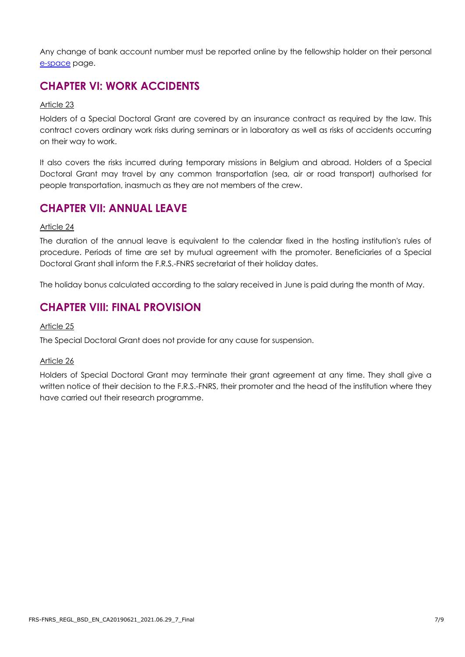Any change of bank account number must be reported online by the fellowship holder on their personal e[-space](https://e-space.frs-fnrs.be/) page.

## **CHAPTER VI: WORK ACCIDENTS**

#### Article 23

Holders of a Special Doctoral Grant are covered by an insurance contract as required by the law. This contract covers ordinary work risks during seminars or in laboratory as well as risks of accidents occurring on their way to work.

It also covers the risks incurred during temporary missions in Belgium and abroad. Holders of a Special Doctoral Grant may travel by any common transportation (sea, air or road transport) authorised for people transportation, inasmuch as they are not members of the crew.

### **CHAPTER VII: ANNUAL LEAVE**

#### Article 24

The duration of the annual leave is equivalent to the calendar fixed in the hosting institution's rules of procedure. Periods of time are set by mutual agreement with the promoter. Beneficiaries of a Special Doctoral Grant shall inform the F.R.S.-FNRS secretariat of their holiday dates.

The holiday bonus calculated according to the salary received in June is paid during the month of May.

## **CHAPTER VIII: FINAL PROVISION**

#### Article 25

The Special Doctoral Grant does not provide for any cause for suspension.

#### Article 26

Holders of Special Doctoral Grant may terminate their grant agreement at any time. They shall give a written notice of their decision to the F.R.S.-FNRS, their promoter and the head of the institution where they have carried out their research programme.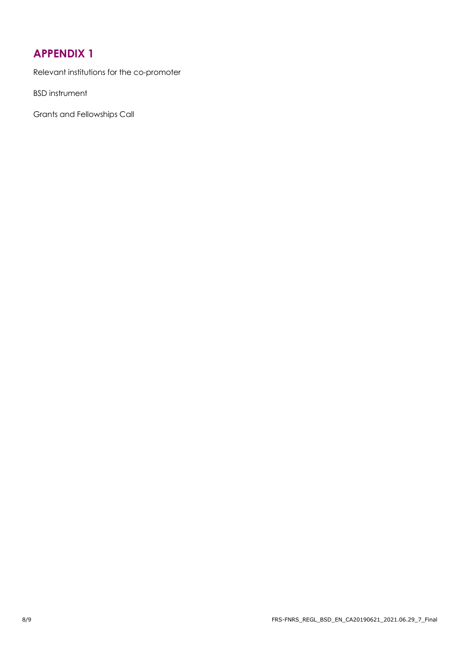## **APPENDIX 1**

Relevant institutions for the co-promoter

BSD instrument

Grants and Fellowships Call